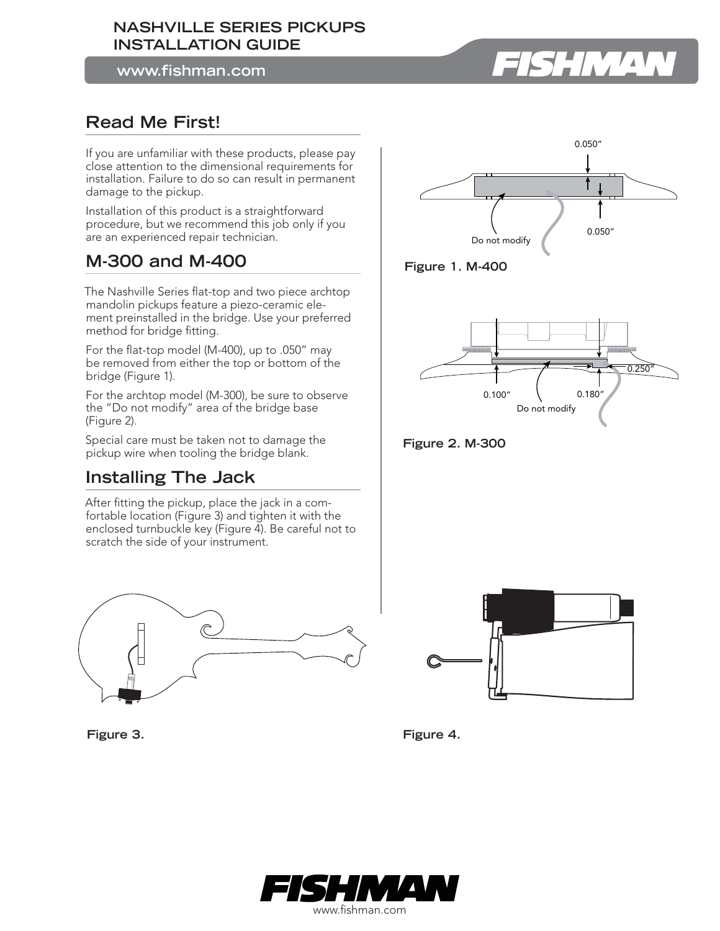#### **NASHVILLE SERIES PICKUPS INSTALLATION GUIDE**

**www.fishman.com**

# HMA

# **Read Me First!**

If you are unfamiliar with these products, please pay close attention to the dimensional requirements for installation. Failure to do so can result in permanent damage to the pickup.

Installation of this product is a straightforward procedure, but we recommend this job only if you are an experienced repair technician.

# **M-300 and M-400**

The Nashville Series flat-top and two piece archtop mandolin pickups feature a piezo-ceramic element preinstalled in the bridge. Use your preferred method for bridge fitting.

For the flat-top model (M-400), up to  $.050''$  may be removed from either the top or bottom of the bridge (Figure 1).

For the archtop model (M-300), be sure to observe the "Do not modify" area of the bridge base (Figure 2).

Special care must be taken not to damage the pickup wire when tooling the bridge blank.

### **Installing The Jack**

After fitting the pickup, place the jack in a comfortable location (Figure 3) and tighten it with the enclosed turnbuckle key (Figure 4). Be careful not to scratch the side of your instrument.